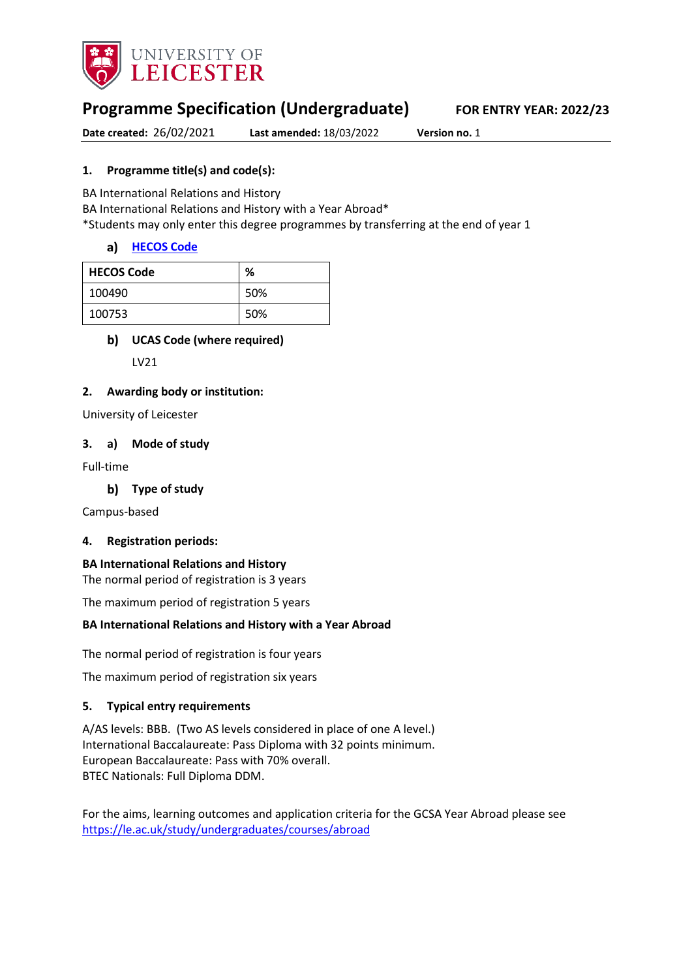

# **Programme Specification (Undergraduate) FOR ENTRY YEAR: 2022/23**

**Date created:** 26/02/2021 **Last amended:** 18/03/2022 **Version no.** 1

# **1. Programme title(s) and code(s):**

BA International Relations and History

BA International Relations and History with a Year Abroad\*

\*Students may only enter this degree programmes by transferring at the end of year 1

# a) [HECOS Code](https://www.hesa.ac.uk/innovation/hecos)

| <b>HECOS Code</b> | %   |
|-------------------|-----|
| 100490            | 50% |
| 100753            | 50% |

# **UCAS Code (where required)**

LV21

# **2. Awarding body or institution:**

University of Leicester

### **3. a) Mode of study**

Full-time

### **Type of study**

Campus-based

### **4. Registration periods:**

#### **BA International Relations and History**  The normal period of registration is 3 years

# The maximum period of registration 5 years **BA International Relations and History with a Year Abroad**

The normal period of registration is four years

The maximum period of registration six years

### **5. Typical entry requirements**

A/AS levels: BBB. (Two AS levels considered in place of one A level.) International Baccalaureate: Pass Diploma with 32 points minimum. European Baccalaureate: Pass with 70% overall. BTEC Nationals: Full Diploma DDM.

For the aims, learning outcomes and application criteria for the GCSA Year Abroad please see <https://le.ac.uk/study/undergraduates/courses/abroad>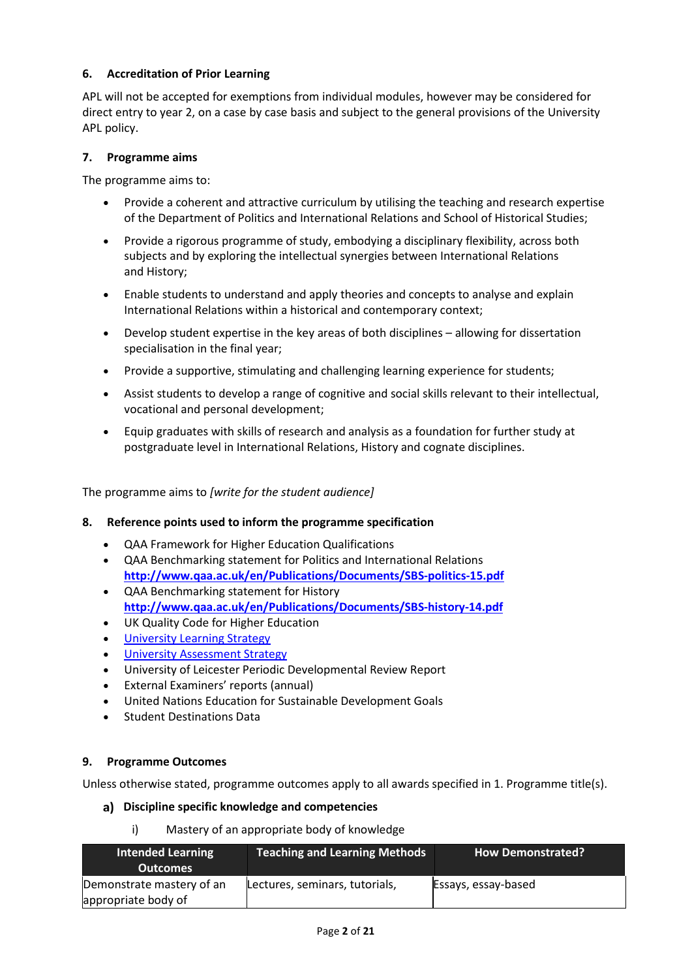# **6. Accreditation of Prior Learning**

APL will not be accepted for exemptions from individual modules, however may be considered for direct entry to year 2, on a case by case basis and subject to the general provisions of the University APL policy.

### **7. Programme aims**

The programme aims to:

- Provide a coherent and attractive curriculum by utilising the teaching and research expertise of the Department of Politics and International Relations and School of Historical Studies;
- Provide a rigorous programme of study, embodying a disciplinary flexibility, across both subjects and by exploring the intellectual synergies between International Relations and History;
- Enable students to understand and apply theories and concepts to analyse and explain International Relations within a historical and contemporary context;
- Develop student expertise in the key areas of both disciplines allowing for dissertation specialisation in the final year;
- Provide a supportive, stimulating and challenging learning experience for students;
- Assist students to develop a range of cognitive and social skills relevant to their intellectual, vocational and personal development;
- Equip graduates with skills of research and analysis as a foundation for further study at postgraduate level in International Relations, History and cognate disciplines.

The programme aims to *[write for the student audience]*

### **8. Reference points used to inform the programme specification**

- QAA Framework for Higher Education Qualifications
- QAA Benchmarking statement for Politics and International Relations **<http://www.qaa.ac.uk/en/Publications/Documents/SBS-politics-15.pdf>**
- QAA Benchmarking statement for History **<http://www.qaa.ac.uk/en/Publications/Documents/SBS-history-14.pdf>**
- UK Quality Code for Higher Education
- University Learning [Strategy](https://www2.le.ac.uk/offices/sas2/quality/learnteach)
- [University Assessment Strategy](https://www2.le.ac.uk/offices/sas2/quality/learnteach)
- University of Leicester Periodic Developmental Review Report
- External Examiners' reports (annual)
- United Nations Education for Sustainable Development Goals
- Student Destinations Data

### **9. Programme Outcomes**

Unless otherwise stated, programme outcomes apply to all awards specified in 1. Programme title(s).

### **Discipline specific knowledge and competencies**

i) Mastery of an appropriate body of knowledge

| <b>Intended Learning</b><br><b>Outcomes</b> | <b>Teaching and Learning Methods</b> | <b>How Demonstrated?</b> |
|---------------------------------------------|--------------------------------------|--------------------------|
| Demonstrate mastery of an                   | Lectures, seminars, tutorials,       | Essays, essay-based      |
| appropriate body of                         |                                      |                          |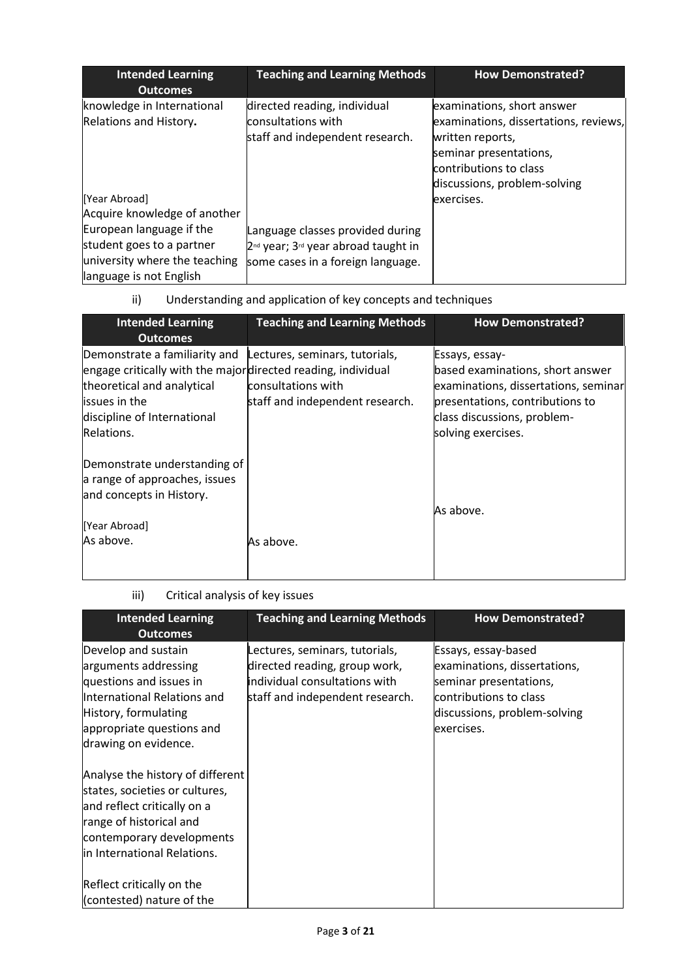| <b>Intended Learning</b><br><b>Outcomes</b>                                                                       | <b>Teaching and Learning Methods</b>                                                                                                 | <b>How Demonstrated?</b>                                                                                                                                                    |
|-------------------------------------------------------------------------------------------------------------------|--------------------------------------------------------------------------------------------------------------------------------------|-----------------------------------------------------------------------------------------------------------------------------------------------------------------------------|
| knowledge in International<br>Relations and History.                                                              | directed reading, individual<br>consultations with<br>staff and independent research.                                                | examinations, short answer<br>examinations, dissertations, reviews,<br>written reports,<br>seminar presentations,<br>contributions to class<br>discussions, problem-solving |
| [Year Abroad]<br>Acquire knowledge of another                                                                     |                                                                                                                                      | exercises.                                                                                                                                                                  |
| European language if the<br>student goes to a partner<br>university where the teaching<br>language is not English | Language classes provided during<br>2 <sup>nd</sup> year; 3 <sup>rd</sup> year abroad taught in<br>some cases in a foreign language. |                                                                                                                                                                             |

# ii) Understanding and application of key concepts and techniques

| <b>Intended Learning</b><br><b>Outcomes</b>                                                                                                                                               | <b>Teaching and Learning Methods</b>                                                    | <b>How Demonstrated?</b>                                                                                                                                                           |
|-------------------------------------------------------------------------------------------------------------------------------------------------------------------------------------------|-----------------------------------------------------------------------------------------|------------------------------------------------------------------------------------------------------------------------------------------------------------------------------------|
| Demonstrate a familiarity and<br>engage critically with the majordirected reading, individual<br>theoretical and analytical<br>issues in the<br>discipline of International<br>Relations. | Lectures, seminars, tutorials,<br>consultations with<br>staff and independent research. | Essays, essay-<br>based examinations, short answer<br>examinations, dissertations, seminar<br>presentations, contributions to<br>class discussions, problem-<br>solving exercises. |
| Demonstrate understanding of<br>a range of approaches, issues<br>and concepts in History.<br>[Year Abroad]<br>As above.                                                                   | As above.                                                                               | As above.                                                                                                                                                                          |

# iii) Critical analysis of key issues

| <b>Intended Learning</b>         | <b>Teaching and Learning Methods</b> | <b>How Demonstrated?</b>     |
|----------------------------------|--------------------------------------|------------------------------|
| <b>Outcomes</b>                  |                                      |                              |
| Develop and sustain              | Lectures, seminars, tutorials,       | Essays, essay-based          |
| arguments addressing             | directed reading, group work,        | examinations, dissertations, |
| questions and issues in          | individual consultations with        | seminar presentations,       |
| International Relations and      | staff and independent research.      | contributions to class       |
| History, formulating             |                                      | discussions, problem-solving |
| appropriate questions and        |                                      | exercises.                   |
| drawing on evidence.             |                                      |                              |
|                                  |                                      |                              |
| Analyse the history of different |                                      |                              |
| states, societies or cultures,   |                                      |                              |
| and reflect critically on a      |                                      |                              |
| range of historical and          |                                      |                              |
| contemporary developments        |                                      |                              |
| in International Relations.      |                                      |                              |
|                                  |                                      |                              |
| Reflect critically on the        |                                      |                              |
| (contested) nature of the        |                                      |                              |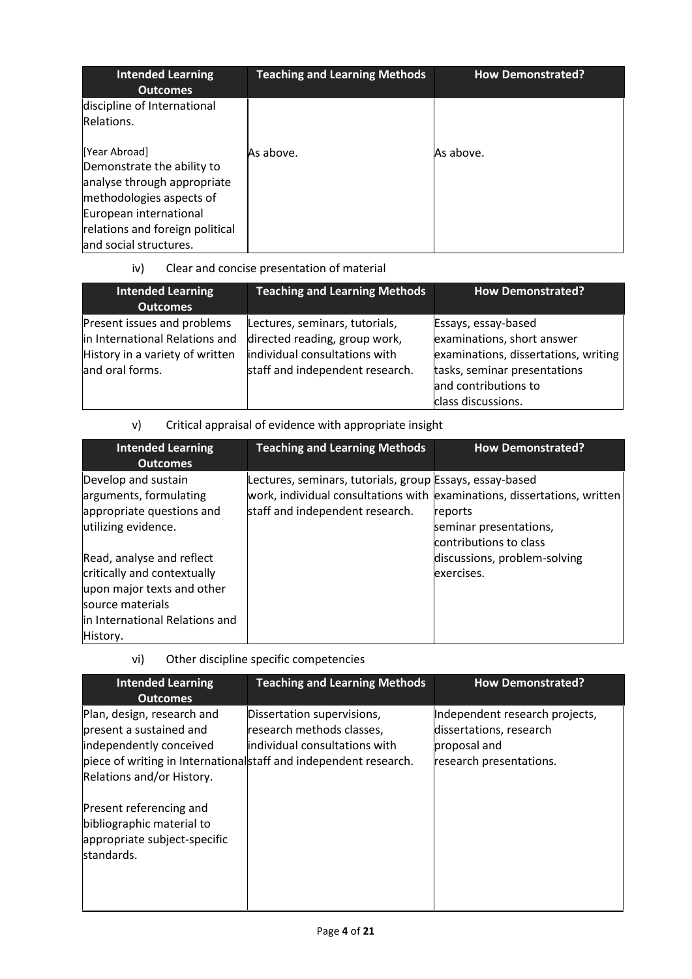| <b>Intended Learning</b><br><b>Outcomes</b>                                                                                                                         | <b>Teaching and Learning Methods</b> | <b>How Demonstrated?</b> |
|---------------------------------------------------------------------------------------------------------------------------------------------------------------------|--------------------------------------|--------------------------|
| discipline of International                                                                                                                                         |                                      |                          |
| Relations.                                                                                                                                                          |                                      |                          |
| [Year Abroad]<br>Demonstrate the ability to<br>analyse through appropriate<br>methodologies aspects of<br>European international<br>relations and foreign political | As above.                            | As above.                |
| and social structures.                                                                                                                                              |                                      |                          |

# iv) Clear and concise presentation of material

| <b>Intended Learning</b><br><b>Outcomes</b>                                                                         | <b>Teaching and Learning Methods</b>                                                                                                | <b>How Demonstrated?</b>                                                                                                                                                |
|---------------------------------------------------------------------------------------------------------------------|-------------------------------------------------------------------------------------------------------------------------------------|-------------------------------------------------------------------------------------------------------------------------------------------------------------------------|
| Present issues and problems<br>in International Relations and<br>History in a variety of written<br>and oral forms. | Lectures, seminars, tutorials,<br>directed reading, group work,<br>individual consultations with<br>staff and independent research. | Essays, essay-based<br>examinations, short answer<br>examinations, dissertations, writing<br>tasks, seminar presentations<br>and contributions to<br>class discussions. |

v) Critical appraisal of evidence with appropriate insight

| <b>Intended Learning</b><br><b>Outcomes</b> | <b>Teaching and Learning Methods</b>                     | <b>How Demonstrated?</b>                                                 |
|---------------------------------------------|----------------------------------------------------------|--------------------------------------------------------------------------|
| Develop and sustain                         | Lectures, seminars, tutorials, group Essays, essay-based |                                                                          |
| arguments, formulating                      |                                                          | work, individual consultations with examinations, dissertations, written |
| appropriate questions and                   | staff and independent research.                          | reports                                                                  |
| utilizing evidence.                         |                                                          | seminar presentations,                                                   |
|                                             |                                                          | contributions to class                                                   |
| Read, analyse and reflect                   |                                                          | discussions, problem-solving                                             |
| critically and contextually                 |                                                          | exercises.                                                               |
| upon major texts and other                  |                                                          |                                                                          |
| source materials                            |                                                          |                                                                          |
| in International Relations and              |                                                          |                                                                          |
| History.                                    |                                                          |                                                                          |

# vi) Other discipline specific competencies

| <b>Intended Learning</b><br><b>Outcomes</b>                                                                   | <b>Teaching and Learning Methods</b>                                                                                                                          | <b>How Demonstrated?</b>                                                                             |
|---------------------------------------------------------------------------------------------------------------|---------------------------------------------------------------------------------------------------------------------------------------------------------------|------------------------------------------------------------------------------------------------------|
| Plan, design, research and<br>present a sustained and<br>independently conceived<br>Relations and/or History. | Dissertation supervisions,<br>research methods classes,<br>lindividual consultations with<br>piece of writing in Internationalstaff and independent research. | Independent research projects,<br>dissertations, research<br>proposal and<br>research presentations. |
| Present referencing and<br>bibliographic material to<br>appropriate subject-specific<br>standards.            |                                                                                                                                                               |                                                                                                      |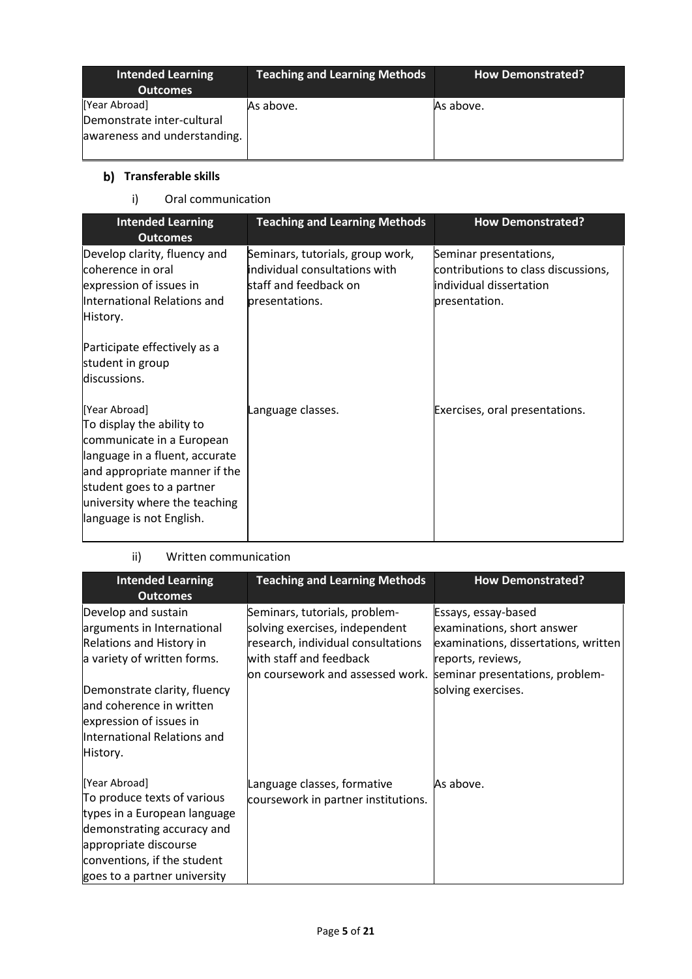| <b>Intended Learning</b><br><b>Outcomes</b>                                 | <b>Teaching and Learning Methods</b> | <b>How Demonstrated?</b> |
|-----------------------------------------------------------------------------|--------------------------------------|--------------------------|
| [Year Abroad]<br>Demonstrate inter-cultural<br>awareness and understanding. | As above.                            | As above.                |

# **b)** Transferable skills

i) Oral communication

| <b>Intended Learning</b><br><b>Outcomes</b>                                                                                                                                                                                          | <b>Teaching and Learning Methods</b>                                                                         | <b>How Demonstrated?</b>                                                                                  |
|--------------------------------------------------------------------------------------------------------------------------------------------------------------------------------------------------------------------------------------|--------------------------------------------------------------------------------------------------------------|-----------------------------------------------------------------------------------------------------------|
| Develop clarity, fluency and<br>coherence in oral<br>expression of issues in<br>International Relations and<br>History.                                                                                                              | Seminars, tutorials, group work,<br>individual consultations with<br>staff and feedback on<br>presentations. | Seminar presentations,<br>contributions to class discussions,<br>individual dissertation<br>presentation. |
| Participate effectively as a<br>student in group<br>discussions.                                                                                                                                                                     |                                                                                                              |                                                                                                           |
| [Year Abroad]<br>To display the ability to<br>communicate in a European<br>language in a fluent, accurate<br>and appropriate manner if the<br>student goes to a partner<br>university where the teaching<br>language is not English. | Language classes.                                                                                            | Exercises, oral presentations.                                                                            |

# ii) Written communication

| <b>Intended Learning</b><br><b>Outcomes</b>                                                                                                                                                        | <b>Teaching and Learning Methods</b>                                                                                                                                 | <b>How Demonstrated?</b>                                                                                                                          |
|----------------------------------------------------------------------------------------------------------------------------------------------------------------------------------------------------|----------------------------------------------------------------------------------------------------------------------------------------------------------------------|---------------------------------------------------------------------------------------------------------------------------------------------------|
| Develop and sustain<br>arguments in International<br><b>Relations and History in</b><br>a variety of written forms.                                                                                | Seminars, tutorials, problem-<br>solving exercises, independent<br>research, individual consultations<br>with staff and feedback<br>on coursework and assessed work. | Essays, essay-based<br>examinations, short answer<br>examinations, dissertations, written<br>reports, reviews,<br>seminar presentations, problem- |
| Demonstrate clarity, fluency<br>and coherence in written<br>expression of issues in<br>International Relations and<br>History.                                                                     |                                                                                                                                                                      | solving exercises.                                                                                                                                |
| [Year Abroad]<br>To produce texts of various<br>types in a European language<br>demonstrating accuracy and<br>appropriate discourse<br>conventions, if the student<br>goes to a partner university | Language classes, formative<br>coursework in partner institutions.                                                                                                   | As above.                                                                                                                                         |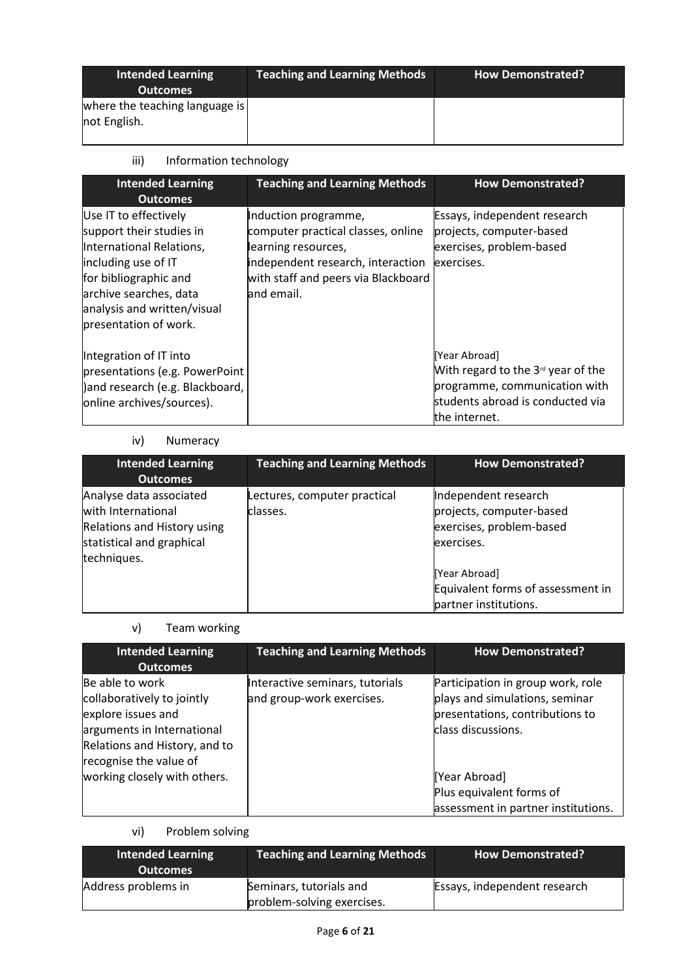| <b>Intended Learning</b><br><b>Outcomes</b>    | <b>Teaching and Learning Methods</b> | <b>How Demonstrated?</b> |
|------------------------------------------------|--------------------------------------|--------------------------|
| where the teaching language is<br>not English. |                                      |                          |

# iii) Information technology

| <b>Intended Learning</b><br><b>Outcomes</b>                                                                                                                                                                     | <b>Teaching and Learning Methods</b>                                                                                                                                        | <b>How Demonstrated?</b>                                                                                                                   |
|-----------------------------------------------------------------------------------------------------------------------------------------------------------------------------------------------------------------|-----------------------------------------------------------------------------------------------------------------------------------------------------------------------------|--------------------------------------------------------------------------------------------------------------------------------------------|
| Use IT to effectively<br>support their studies in<br>International Relations,<br>including use of IT<br>for bibliographic and<br>archive searches, data<br>analysis and written/visual<br>presentation of work. | Induction programme,<br>computer practical classes, online<br>learning resources,<br>independent research, interaction<br>with staff and peers via Blackboard<br>and email. | Essays, independent research<br>projects, computer-based<br>exercises, problem-based<br>exercises.                                         |
| Integration of IT into<br>presentations (e.g. PowerPoint<br>) and research (e.g. Blackboard,<br>online archives/sources).                                                                                       |                                                                                                                                                                             | [Year Abroad]<br>With regard to the $3d$ year of the<br>programme, communication with<br>students abroad is conducted via<br>the internet. |

# iv) Numeracy

| <b>Intended Learning</b><br><b>Outcomes</b>                                                                              | <b>Teaching and Learning Methods</b>     | <b>How Demonstrated?</b>                                                                                                                                                  |
|--------------------------------------------------------------------------------------------------------------------------|------------------------------------------|---------------------------------------------------------------------------------------------------------------------------------------------------------------------------|
| Analyse data associated<br>with International<br>Relations and History using<br>statistical and graphical<br>techniques. | Lectures, computer practical<br>classes. | Independent research<br>projects, computer-based<br>exercises, problem-based<br>exercises.<br>[Year Abroad]<br>Equivalent forms of assessment in<br>partner institutions. |

# v) Team working

| <b>Intended Learning</b><br><b>Outcomes</b>                                                                                                                                                  | <b>Teaching and Learning Methods</b>                         | <b>How Demonstrated?</b>                                                                                                                                                                                         |
|----------------------------------------------------------------------------------------------------------------------------------------------------------------------------------------------|--------------------------------------------------------------|------------------------------------------------------------------------------------------------------------------------------------------------------------------------------------------------------------------|
| Be able to work<br>collaboratively to jointly<br>explore issues and<br>arguments in International<br>Relations and History, and to<br>recognise the value of<br>working closely with others. | Interactive seminars, tutorials<br>and group-work exercises. | Participation in group work, role<br>plays and simulations, seminar<br>presentations, contributions to<br>class discussions.<br>[Year Abroad]<br>Plus equivalent forms of<br>assessment in partner institutions. |

# vi) Problem solving

| <b>Intended Learning</b><br><b>Outcomes</b> | <b>Teaching and Learning Methods</b>                  | <b>How Demonstrated?</b>     |
|---------------------------------------------|-------------------------------------------------------|------------------------------|
| Address problems in                         | Seminars, tutorials and<br>problem-solving exercises. | Essays, independent research |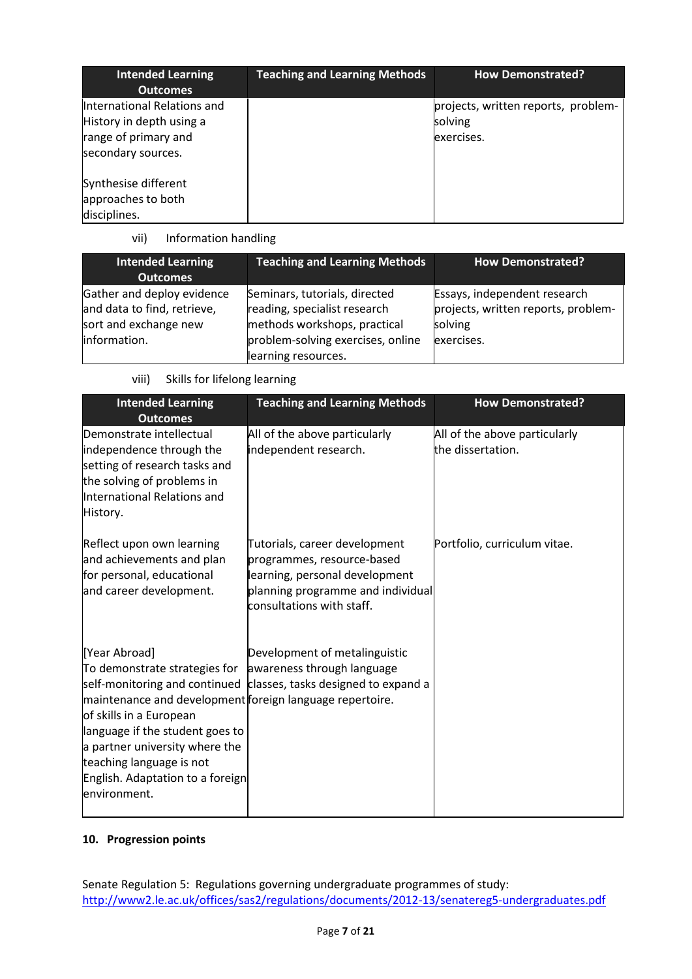| <b>Intended Learning</b><br><b>Outcomes</b>                                                           | <b>Teaching and Learning Methods</b> | <b>How Demonstrated?</b>                                     |
|-------------------------------------------------------------------------------------------------------|--------------------------------------|--------------------------------------------------------------|
| International Relations and<br>History in depth using a<br>range of primary and<br>secondary sources. |                                      | projects, written reports, problem-<br>solving<br>exercises. |
| Synthesise different<br>approaches to both<br>disciplines.                                            |                                      |                                                              |

# vii) Information handling

| <b>Intended Learning</b><br><b>Outcomes</b>                                                        | <b>Teaching and Learning Methods</b>                                                                                                                      | <b>How Demonstrated?</b>                                                                     |
|----------------------------------------------------------------------------------------------------|-----------------------------------------------------------------------------------------------------------------------------------------------------------|----------------------------------------------------------------------------------------------|
| Gather and deploy evidence<br>and data to find, retrieve,<br>sort and exchange new<br>information. | Seminars, tutorials, directed<br>reading, specialist research<br>methods workshops, practical<br>problem-solving exercises, online<br>learning resources. | Essays, independent research<br>projects, written reports, problem-<br>solving<br>exercises. |

viii) Skills for lifelong learning

| <b>Intended Learning</b><br><b>Outcomes</b>                                                                                                                                                                                                                                                                            | <b>Teaching and Learning Methods</b>                                                                                                                            | <b>How Demonstrated?</b>                           |
|------------------------------------------------------------------------------------------------------------------------------------------------------------------------------------------------------------------------------------------------------------------------------------------------------------------------|-----------------------------------------------------------------------------------------------------------------------------------------------------------------|----------------------------------------------------|
| Demonstrate intellectual<br>independence through the<br>setting of research tasks and<br>the solving of problems in<br>International Relations and<br>History.                                                                                                                                                         | All of the above particularly<br>independent research.                                                                                                          | All of the above particularly<br>the dissertation. |
| Reflect upon own learning<br>and achievements and plan<br>for personal, educational<br>and career development.                                                                                                                                                                                                         | Tutorials, career development<br>programmes, resource-based<br>learning, personal development<br>planning programme and individual<br>consultations with staff. | Portfolio, curriculum vitae.                       |
| [Year Abroad]<br>To demonstrate strategies for awareness through language<br>maintenance and development foreign language repertoire.<br>of skills in a European<br>language if the student goes to<br>a partner university where the<br>teaching language is not<br>English. Adaptation to a foreign<br>lenvironment. | Development of metalinguistic<br>self-monitoring and continued classes, tasks designed to expand a                                                              |                                                    |

# **10. Progression points**

Senate Regulation 5: Regulations governing undergraduate programmes of study: <http://www2.le.ac.uk/offices/sas2/regulations/documents/2012-13/senatereg5-undergraduates.pdf>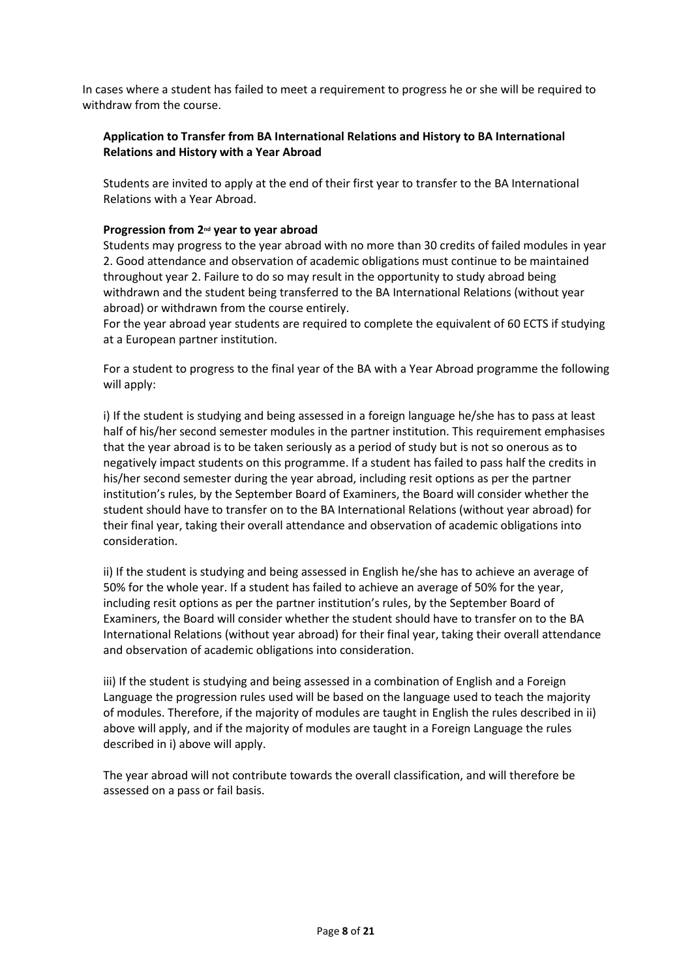In cases where a student has failed to meet a requirement to progress he or she will be required to withdraw from the course.

# **Application to Transfer from BA International Relations and History to BA International Relations and History with a Year Abroad**

Students are invited to apply at the end of their first year to transfer to the BA International Relations with a Year Abroad.

# **Progression from 2nd year to year abroad**

Students may progress to the year abroad with no more than 30 credits of failed modules in year 2. Good attendance and observation of academic obligations must continue to be maintained throughout year 2. Failure to do so may result in the opportunity to study abroad being withdrawn and the student being transferred to the BA International Relations (without year abroad) or withdrawn from the course entirely.

For the year abroad year students are required to complete the equivalent of 60 ECTS if studying at a European partner institution.

For a student to progress to the final year of the BA with a Year Abroad programme the following will apply:

i) If the student is studying and being assessed in a foreign language he/she has to pass at least half of his/her second semester modules in the partner institution. This requirement emphasises that the year abroad is to be taken seriously as a period of study but is not so onerous as to negatively impact students on this programme. If a student has failed to pass half the credits in his/her second semester during the year abroad, including resit options as per the partner institution's rules, by the September Board of Examiners, the Board will consider whether the student should have to transfer on to the BA International Relations (without year abroad) for their final year, taking their overall attendance and observation of academic obligations into consideration.

ii) If the student is studying and being assessed in English he/she has to achieve an average of 50% for the whole year. If a student has failed to achieve an average of 50% for the year, including resit options as per the partner institution's rules, by the September Board of Examiners, the Board will consider whether the student should have to transfer on to the BA International Relations (without year abroad) for their final year, taking their overall attendance and observation of academic obligations into consideration.

iii) If the student is studying and being assessed in a combination of English and a Foreign Language the progression rules used will be based on the language used to teach the majority of modules. Therefore, if the majority of modules are taught in English the rules described in ii) above will apply, and if the majority of modules are taught in a Foreign Language the rules described in i) above will apply.

The year abroad will not contribute towards the overall classification, and will therefore be assessed on a pass or fail basis.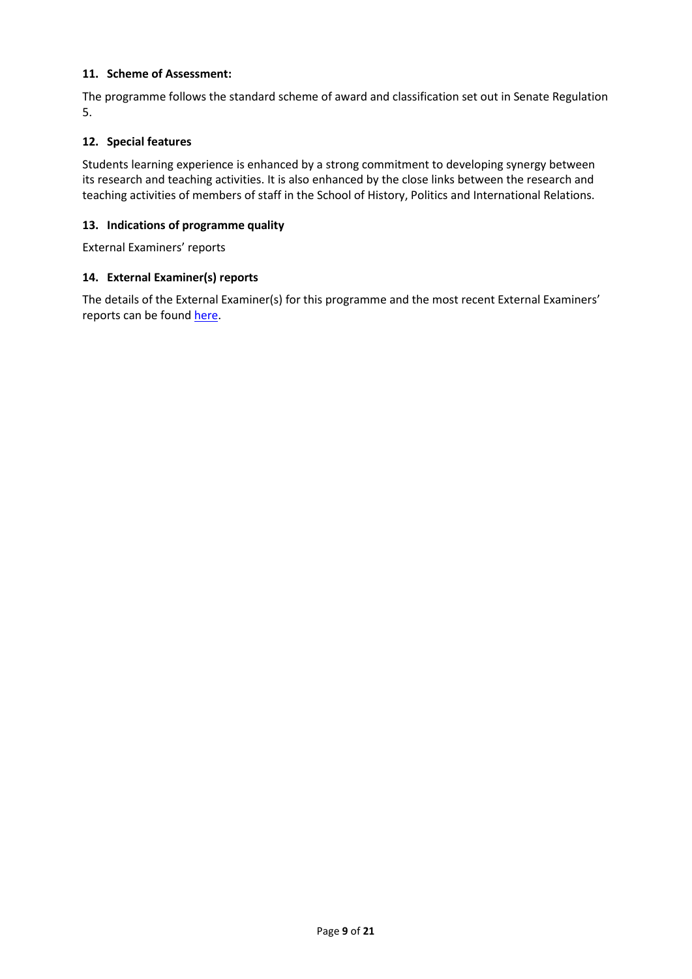# **11. Scheme of Assessment:**

The programme follows the standard scheme of award and classification set out in Senate Regulation 5.

### **12. Special features**

Students learning experience is enhanced by a strong commitment to developing synergy between its research and teaching activities. It is also enhanced by the close links between the research and teaching activities of members of staff in the School of History, Politics and International Relations.

### **13. Indications of programme quality**

External Examiners' reports

# **14. External Examiner(s) reports**

The details of the External Examiner(s) for this programme and the most recent External Examiners' reports can be found [here.](https://exampapers.le.ac.uk/xmlui/handle/123456789/227)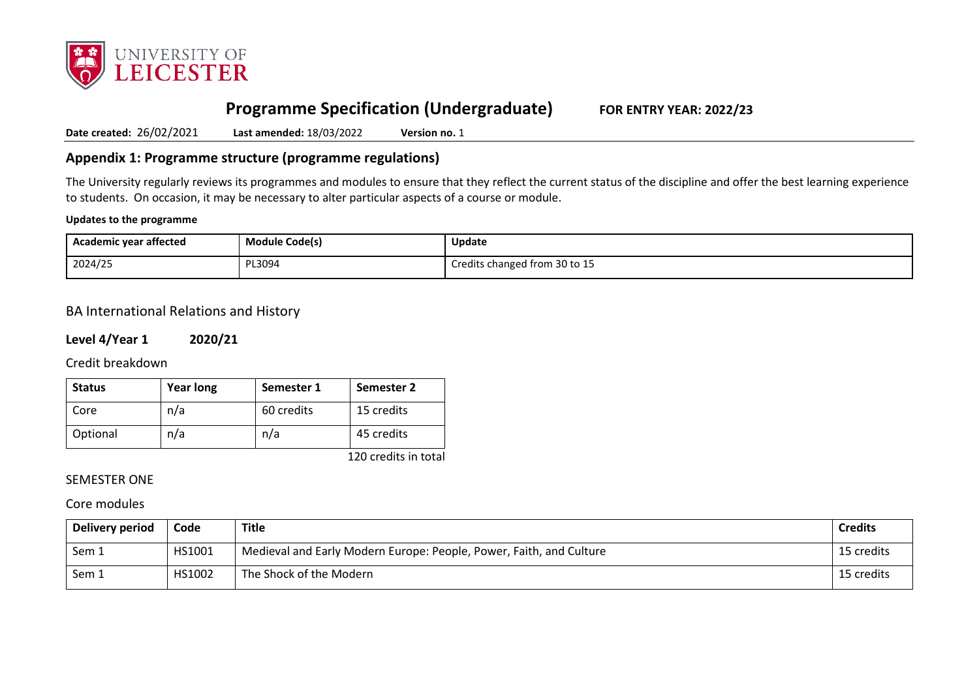

# **Programme Specification (Undergraduate) FOR ENTRY YEAR: 2022/23**

**Date created:** 26/02/2021 **Last amended:** 18/03/2022 **Version no.** 1

# **Appendix 1: Programme structure (programme regulations)**

The University regularly reviews its programmes and modules to ensure that they reflect the current status of the discipline and offer the best learning experience to students. On occasion, it may be necessary to alter particular aspects of a course or module.

#### **Updates to the programme**

| Academic year affected | Module Code(s) | <b>Update</b>                 |
|------------------------|----------------|-------------------------------|
| 2024/25                | PL3094         | Credits changed from 30 to 15 |

# BA International Relations and History

**Level 4/Year 1 2020/21**

Credit breakdown

| <b>Status</b> | <b>Year long</b> | Semester 1 | Semester 2 |
|---------------|------------------|------------|------------|
| Core          | n/a              | 60 credits | 15 credits |
| Optional      | n/a              | n/a        | 45 credits |

120 credits in total

# SEMESTER ONE

# Core modules

| Delivery period | Code   | Title                                                               | <b>Credits</b> |
|-----------------|--------|---------------------------------------------------------------------|----------------|
| Sem 1           | HS1001 | Medieval and Early Modern Europe: People, Power, Faith, and Culture | 15 credits     |
| Sem 1           | HS1002 | The Shock of the Modern                                             | 15 credits     |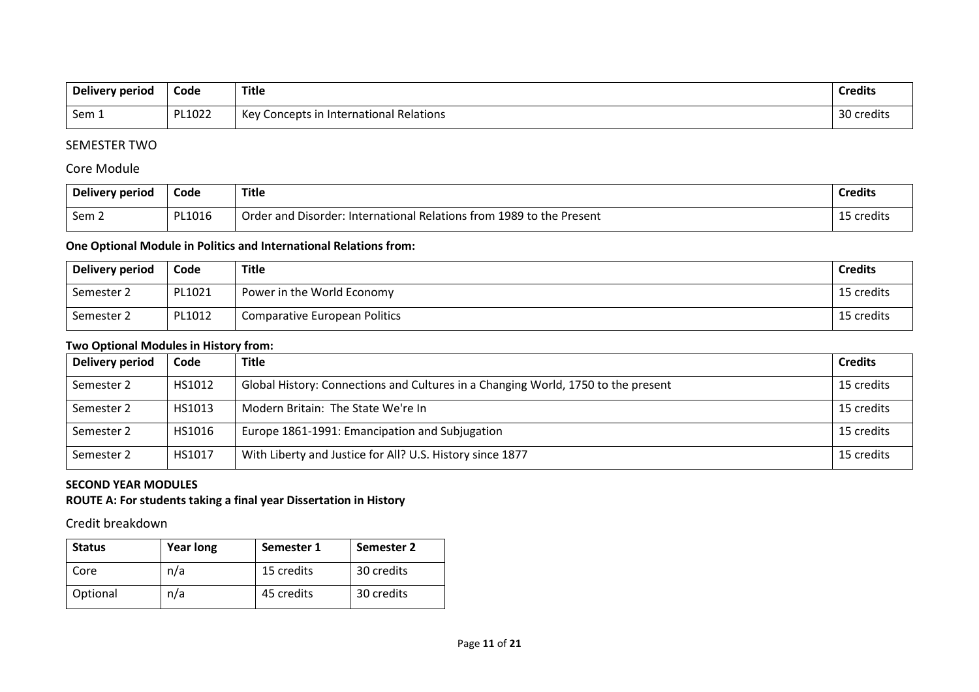| <b>Delivery period</b> | Code   | <b>Title</b>                               | <b>Credits</b> |
|------------------------|--------|--------------------------------------------|----------------|
| Sem 1                  | PL1022 | Kev<br>Concepts in International Relations | 30 credits     |

# SEMESTER TWO

# Core Module

| Delivery period  | Code   | Title                                                                | <b>Credits</b> |
|------------------|--------|----------------------------------------------------------------------|----------------|
| Sem <sub>2</sub> | PL1016 | Order and Disorder: International Relations from 1989 to the Present | 15 credits     |

# **One Optional Module in Politics and International Relations from:**

| Delivery period | Code   | <b>Title</b>                  | <b>Credits</b> |
|-----------------|--------|-------------------------------|----------------|
| Semester 2      | PL1021 | Power in the World Economy    | 15 credits     |
| Semester 2      | PL1012 | Comparative European Politics | 15 credits     |

### **Two Optional Modules in History from:**

| Delivery period | Code   | <b>Title</b>                                                                      | <b>Credits</b> |
|-----------------|--------|-----------------------------------------------------------------------------------|----------------|
| Semester 2      | HS1012 | Global History: Connections and Cultures in a Changing World, 1750 to the present | 15 credits     |
| Semester 2      | HS1013 | Modern Britain: The State We're In                                                | 15 credits     |
| Semester 2      | HS1016 | Europe 1861-1991: Emancipation and Subjugation                                    | 15 credits     |
| Semester 2      | HS1017 | With Liberty and Justice for All? U.S. History since 1877                         | 15 credits     |

# **SECOND YEAR MODULES**

# **ROUTE A: For students taking a final year Dissertation in History**

Credit breakdown

| <b>Status</b> | <b>Year long</b> | Semester 1 | Semester 2 |
|---------------|------------------|------------|------------|
| Core          | n/a              | 15 credits | 30 credits |
| Optional      | n/a              | 45 credits | 30 credits |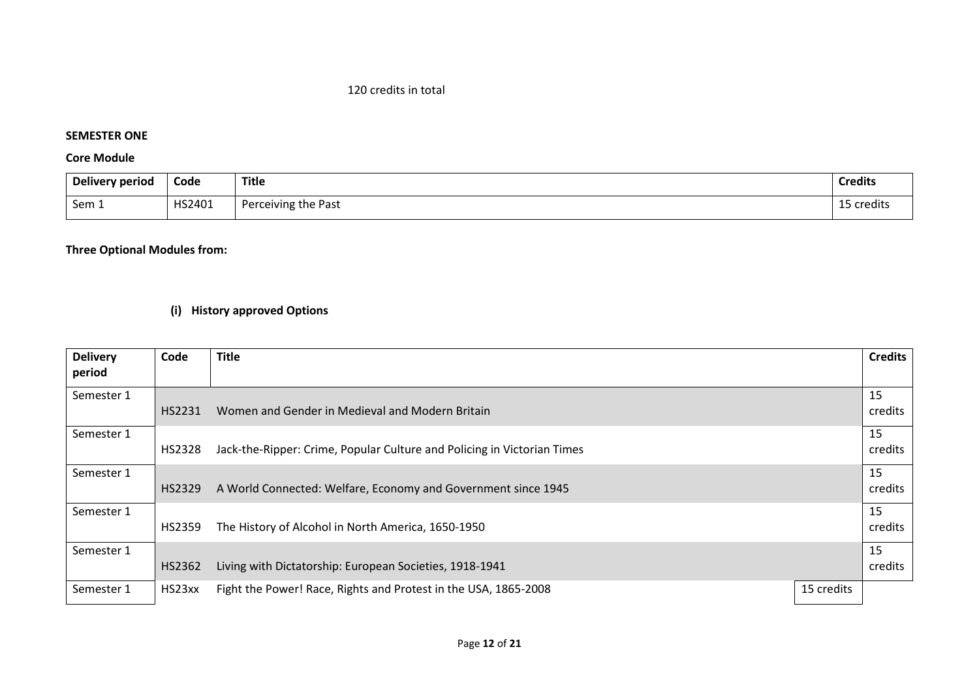# 120 credits in total

# **SEMESTER ONE**

# **Core Module**

| Delivery period | Code   | <b>Title</b>        | <b>Credits</b> |
|-----------------|--------|---------------------|----------------|
| Sem 1           | HS2401 | Perceiving the Past | 15 credits     |

# **Three Optional Modules from:**

# **(i) History approved Options**

| <b>Delivery</b> | Code   | <b>Title</b>                                                            |            | <b>Credits</b> |
|-----------------|--------|-------------------------------------------------------------------------|------------|----------------|
| period          |        |                                                                         |            |                |
| Semester 1      | HS2231 | Women and Gender in Medieval and Modern Britain                         |            | 15<br>credits  |
|                 |        |                                                                         |            |                |
| Semester 1      |        |                                                                         |            | 15             |
|                 | HS2328 | Jack-the-Ripper: Crime, Popular Culture and Policing in Victorian Times |            | credits        |
| Semester 1      |        |                                                                         |            | 15             |
|                 | HS2329 | A World Connected: Welfare, Economy and Government since 1945           |            | credits        |
| Semester 1      |        |                                                                         |            | 15             |
|                 | HS2359 | The History of Alcohol in North America, 1650-1950                      |            | credits        |
| Semester 1      |        |                                                                         |            | 15             |
|                 | HS2362 | Living with Dictatorship: European Societies, 1918-1941                 |            | credits        |
| Semester 1      | HS23xx | Fight the Power! Race, Rights and Protest in the USA, 1865-2008         | 15 credits |                |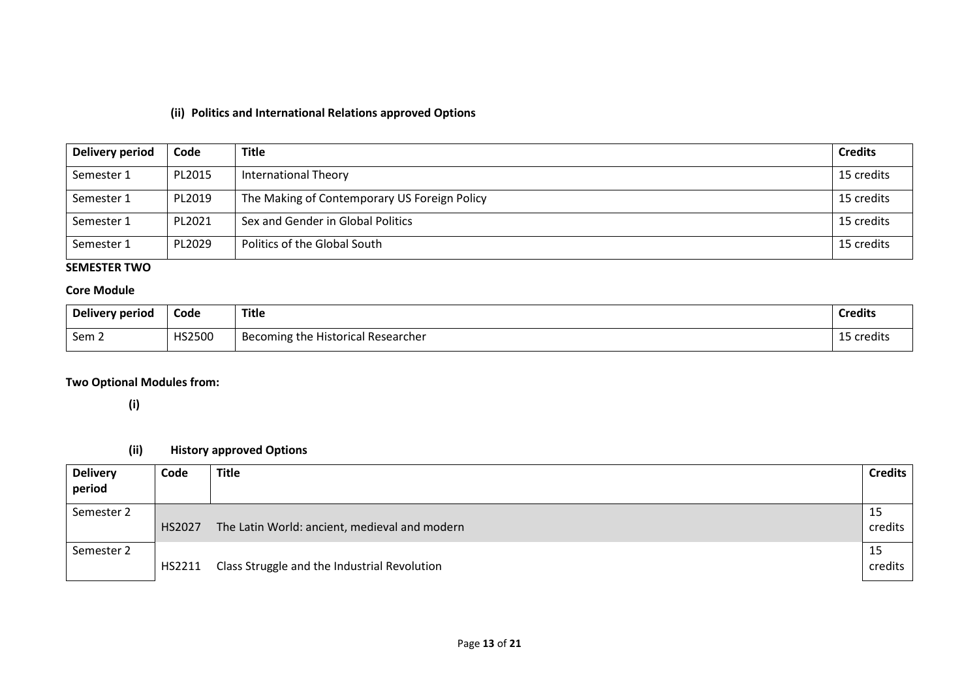# **(ii) Politics and International Relations approved Options**

| Delivery period | Code   | <b>Title</b>                                 | <b>Credits</b> |
|-----------------|--------|----------------------------------------------|----------------|
| Semester 1      | PL2015 | <b>International Theory</b>                  | 15 credits     |
| Semester 1      | PL2019 | The Making of Contemporary US Foreign Policy | 15 credits     |
| Semester 1      | PL2021 | Sex and Gender in Global Politics            | 15 credits     |
| Semester 1      | PL2029 | Politics of the Global South                 | 15 credits     |

# **SEMESTER TWO**

# **Core Module**

| <b>Delivery period</b> | Code   | <b>Title</b>                                   | <b>Credits</b> |
|------------------------|--------|------------------------------------------------|----------------|
| Sem 2                  | HS2500 | <b>Historical Researcher</b><br>Becoming the H | 15 credits     |

# **Two Optional Modules from:**

**(i)**

# **(ii) History approved Options**

| <b>Delivery</b><br>period | Code   | <b>Title</b>                                  | <b>Credits</b> |
|---------------------------|--------|-----------------------------------------------|----------------|
| Semester 2                | HS2027 | The Latin World: ancient, medieval and modern | 15<br>credits  |
| Semester 2                | HS2211 | Class Struggle and the Industrial Revolution  | 15<br>credits  |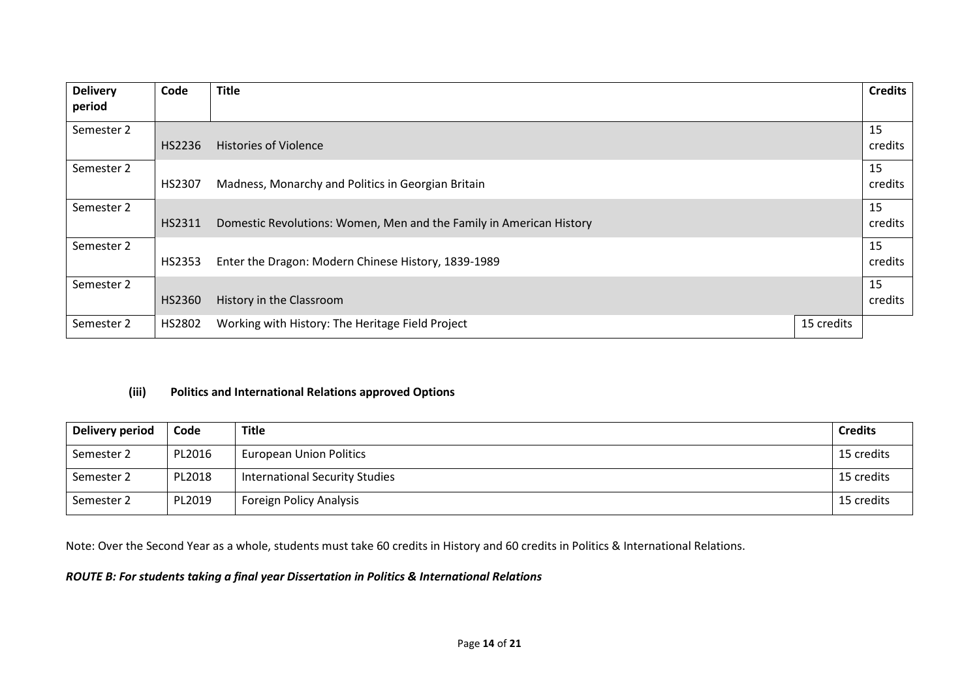| <b>Delivery</b> | Code   | <b>Title</b>                                                        |            | <b>Credits</b> |
|-----------------|--------|---------------------------------------------------------------------|------------|----------------|
| period          |        |                                                                     |            |                |
| Semester 2      |        |                                                                     |            | 15             |
|                 | HS2236 | <b>Histories of Violence</b>                                        |            | credits        |
| Semester 2      |        |                                                                     |            | 15             |
|                 | HS2307 | Madness, Monarchy and Politics in Georgian Britain                  |            | credits        |
| Semester 2      |        |                                                                     |            | 15             |
|                 | HS2311 | Domestic Revolutions: Women, Men and the Family in American History |            | credits        |
| Semester 2      |        |                                                                     |            | 15             |
|                 | HS2353 | Enter the Dragon: Modern Chinese History, 1839-1989                 |            | credits        |
| Semester 2      |        |                                                                     |            | 15             |
|                 | HS2360 | History in the Classroom                                            |            | credits        |
| Semester 2      | HS2802 | Working with History: The Heritage Field Project                    | 15 credits |                |

# **(iii) Politics and International Relations approved Options**

| Delivery period | Code   | <b>Title</b>                          | <b>Credits</b> |
|-----------------|--------|---------------------------------------|----------------|
| Semester 2      | PL2016 | <b>European Union Politics</b>        | 15 credits     |
| Semester 2      | PL2018 | <b>International Security Studies</b> | 15 credits     |
| Semester 2      | PL2019 | <b>Foreign Policy Analysis</b>        | 15 credits     |

Note: Over the Second Year as a whole, students must take 60 credits in History and 60 credits in Politics & International Relations.

# *ROUTE B: For students taking a final year Dissertation in Politics & International Relations*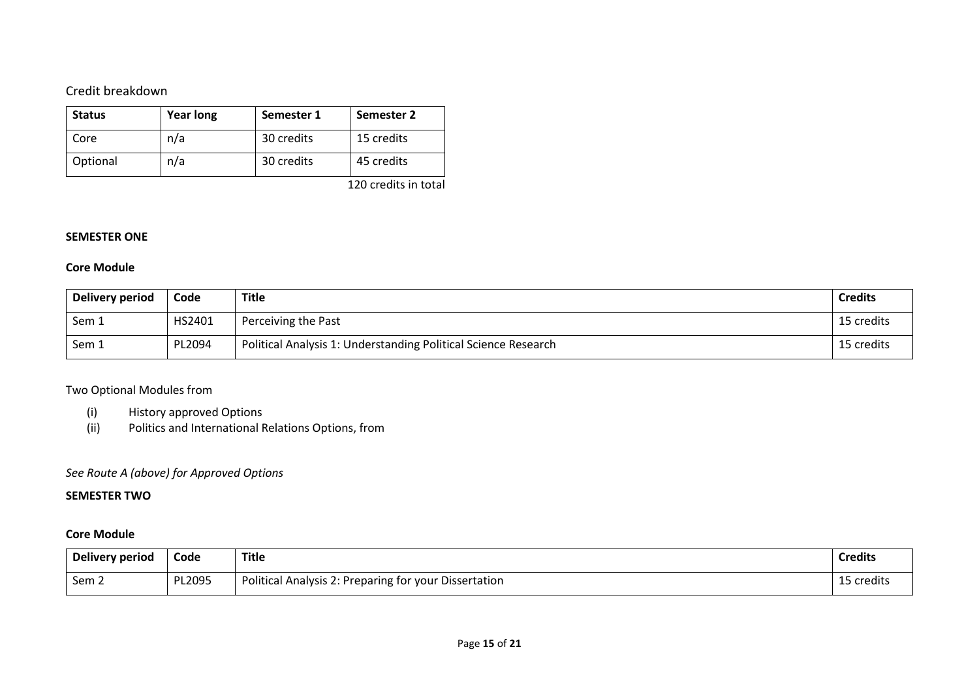# Credit breakdown

| <b>Status</b> | <b>Year long</b> | Semester 1 | Semester 2 |
|---------------|------------------|------------|------------|
| Core          | n/a              | 30 credits | 15 credits |
| Optional      | n/a              | 30 credits | 45 credits |

120 credits in total

### **SEMESTER ONE**

### **Core Module**

| Delivery period | Code   | <b>Title</b>                                                   | <b>Credits</b> |
|-----------------|--------|----------------------------------------------------------------|----------------|
| Sem 1           | HS2401 | Perceiving the Past                                            | 15 credits     |
| Sem 1           | PL2094 | Political Analysis 1: Understanding Political Science Research | 15 credits     |

# Two Optional Modules from

- (i) History approved Options
- (ii) Politics and International Relations Options, from

# *See Route A (above) for Approved Options*

# **SEMESTER TWO**

# **Core Module**

| Delivery period  | Code   | <b>Title</b>                                          | <b>Credits</b> |
|------------------|--------|-------------------------------------------------------|----------------|
| Sem <sub>2</sub> | PL2095 | Political Analysis 2: Preparing for your Dissertation | 15 credits     |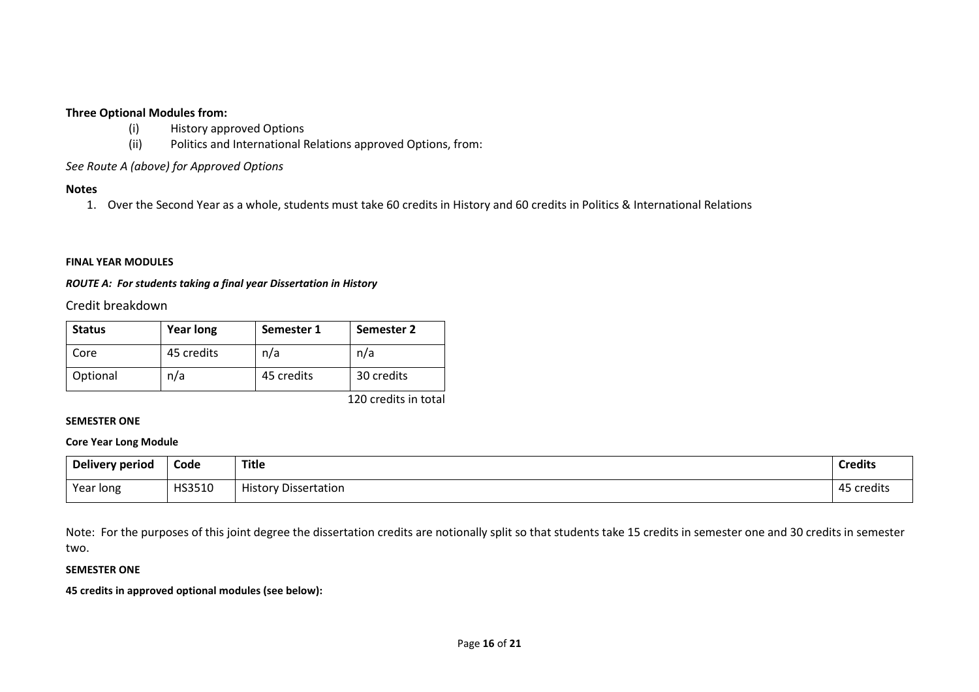#### **Three Optional Modules from:**

- (i) History approved Options
- (ii) Politics and International Relations approved Options, from:

### *See Route A (above) for Approved Options*

### **Notes**

1. Over the Second Year as a whole, students must take 60 credits in History and 60 credits in Politics & International Relations

#### **FINAL YEAR MODULES**

#### *ROUTE A: For students taking a final year Dissertation in History*

Credit breakdown

| <b>Status</b> | <b>Year long</b> | Semester 1 | Semester 2 |
|---------------|------------------|------------|------------|
| Core          | 45 credits       | n/a        | n/a        |
| Optional      | n/a              | 45 credits | 30 credits |

120 credits in total

### **SEMESTER ONE**

#### **Core Year Long Module**

| Delivery period | Code   | <b>Title</b>                | .<br><b>Credits</b>  |
|-----------------|--------|-----------------------------|----------------------|
| Year long       | HS3510 | <b>History Dissertation</b> | 45<br><b>credits</b> |

Note: For the purposes of this joint degree the dissertation credits are notionally split so that students take 15 credits in semester one and 30 credits in semester two.

### **SEMESTER ONE**

**45 credits in approved optional modules (see below):**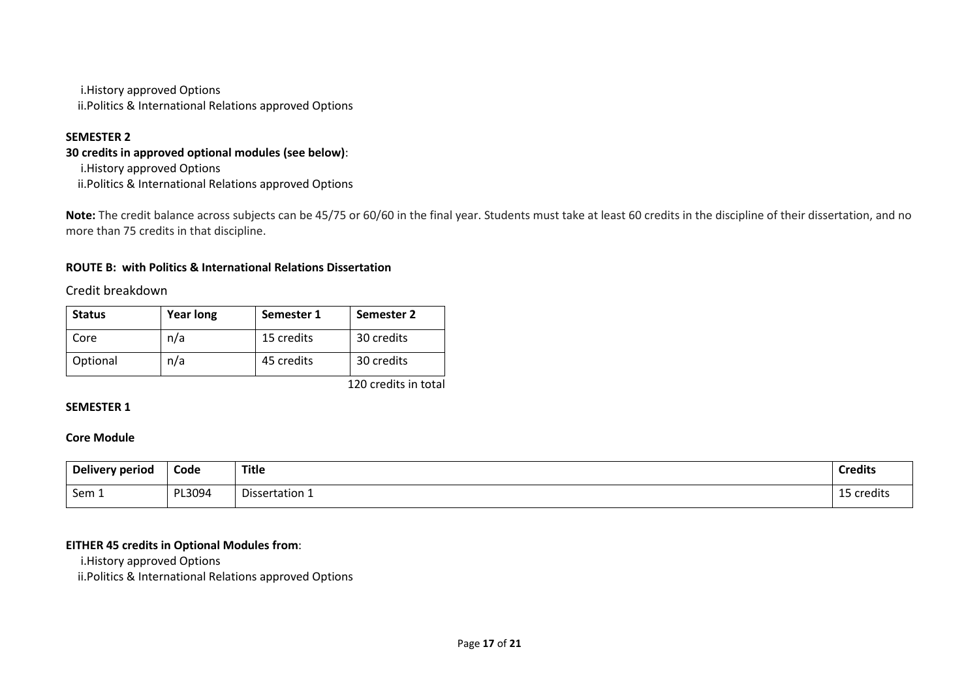i.History approved Options ii.Politics & International Relations approved Options

# **SEMESTER 2**

# **30 credits in approved optional modules (see below)**:

i.History approved Options ii.Politics & International Relations approved Options

**Note:** The credit balance across subjects can be 45/75 or 60/60 in the final year. Students must take at least 60 credits in the discipline of their dissertation, and no more than 75 credits in that discipline.

# **ROUTE B: with Politics & International Relations Dissertation**

# Credit breakdown

| <b>Status</b> | <b>Year long</b> | Semester 1 | Semester 2 |
|---------------|------------------|------------|------------|
| Core          | n/a              | 15 credits | 30 credits |
| Optional      | n/a              | 45 credits | 30 credits |

120 credits in total

### **SEMESTER 1**

#### **Core Module**

| Delivery period | Code   | <b>Title</b>   | <b>Credits</b>           |
|-----------------|--------|----------------|--------------------------|
| Sem 1           | PL3094 | Dissertation 1 | $\sim$ $\sim$<br>credits |

### **EITHER 45 credits in Optional Modules from**:

i.History approved Options

ii.Politics & International Relations approved Options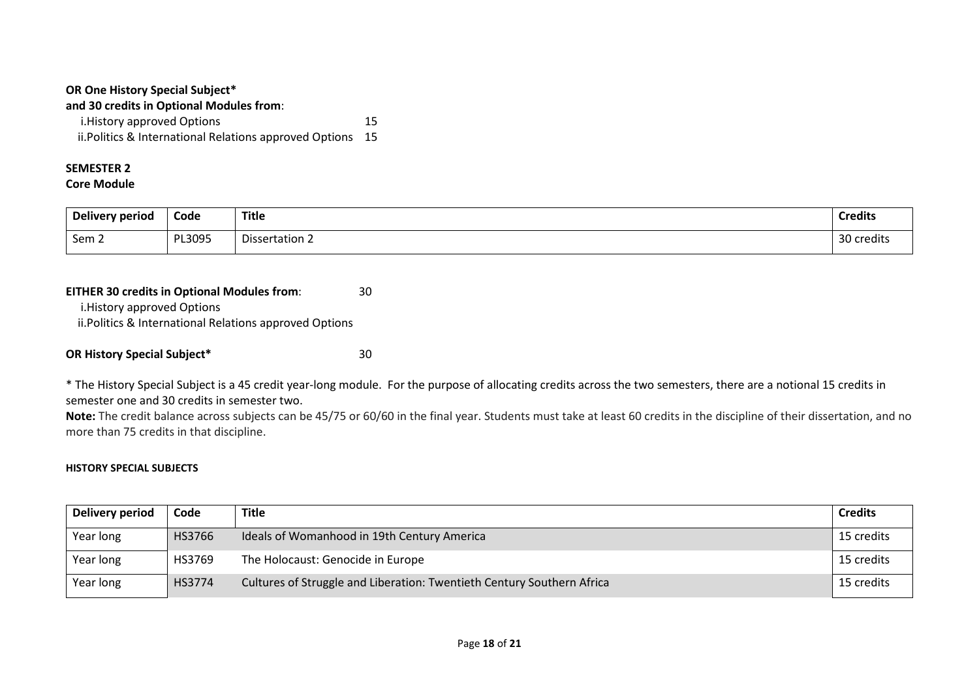| OR One History Special Subject*                            |    |  |
|------------------------------------------------------------|----|--|
| and 30 credits in Optional Modules from:                   |    |  |
| i. History approved Options                                | 15 |  |
| ii. Politics & International Relations approved Options 15 |    |  |

# **SEMESTER 2**

**Core Module**

| Delivery period | Code   | <b>Title</b>   | <b>Credits</b> |
|-----------------|--------|----------------|----------------|
| Sem 2           | PL3095 | Dissertation 2 | $\Omega$       |
|                 |        |                | credits        |

### **EITHER 30 credits in Optional Modules from**: 30

i.History approved Options

ii.Politics & International Relations approved Options

# **OR History Special Subject\*** 30

\* The History Special Subject is a 45 credit year-long module. For the purpose of allocating credits across the two semesters, there are a notional 15 credits in semester one and 30 credits in semester two.

**Note:** The credit balance across subjects can be 45/75 or 60/60 in the final year. Students must take at least 60 credits in the discipline of their dissertation, and no more than 75 credits in that discipline.

#### **HISTORY SPECIAL SUBJECTS**

| Delivery period | Code   | Title                                                                  | <b>Credits</b> |
|-----------------|--------|------------------------------------------------------------------------|----------------|
| Year long       | HS3766 | Ideals of Womanhood in 19th Century America                            | 15 credits     |
| Year long       | HS3769 | The Holocaust: Genocide in Europe                                      | 15 credits     |
| Year long       | HS3774 | Cultures of Struggle and Liberation: Twentieth Century Southern Africa | 15 credits     |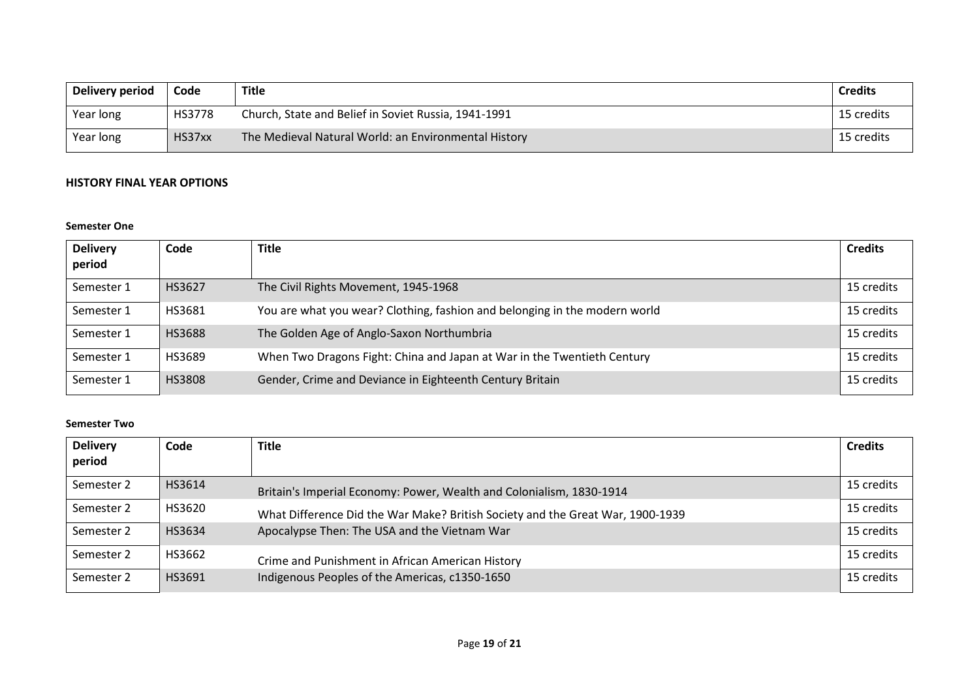| Delivery period | Code          | <b>Title</b>                                         | <b>Credits</b> |
|-----------------|---------------|------------------------------------------------------|----------------|
| Year long       | <b>HS3778</b> | Church, State and Belief in Soviet Russia, 1941-1991 | 15 credits     |
| Year long       | HS37xx        | The Medieval Natural World: an Environmental History | 15 credits     |

# **HISTORY FINAL YEAR OPTIONS**

### **Semester One**

| <b>Delivery</b><br>period | Code          | <b>Title</b>                                                               | <b>Credits</b> |
|---------------------------|---------------|----------------------------------------------------------------------------|----------------|
| Semester 1                | HS3627        | The Civil Rights Movement, 1945-1968                                       | 15 credits     |
| Semester 1                | HS3681        | You are what you wear? Clothing, fashion and belonging in the modern world | 15 credits     |
| Semester 1                | <b>HS3688</b> | The Golden Age of Anglo-Saxon Northumbria                                  | 15 credits     |
| Semester 1                | HS3689        | When Two Dragons Fight: China and Japan at War in the Twentieth Century    | 15 credits     |
| Semester 1                | HS3808        | Gender, Crime and Deviance in Eighteenth Century Britain                   | 15 credits     |

### **Semester Two**

| <b>Delivery</b><br>period | Code   | Title                                                                          | <b>Credits</b> |
|---------------------------|--------|--------------------------------------------------------------------------------|----------------|
| Semester 2                | HS3614 | Britain's Imperial Economy: Power, Wealth and Colonialism, 1830-1914           | 15 credits     |
| Semester 2                | HS3620 | What Difference Did the War Make? British Society and the Great War, 1900-1939 | 15 credits     |
| Semester 2                | HS3634 | Apocalypse Then: The USA and the Vietnam War                                   | 15 credits     |
| Semester 2                | HS3662 | Crime and Punishment in African American History                               | 15 credits     |
| Semester 2                | HS3691 | Indigenous Peoples of the Americas, c1350-1650                                 | 15 credits     |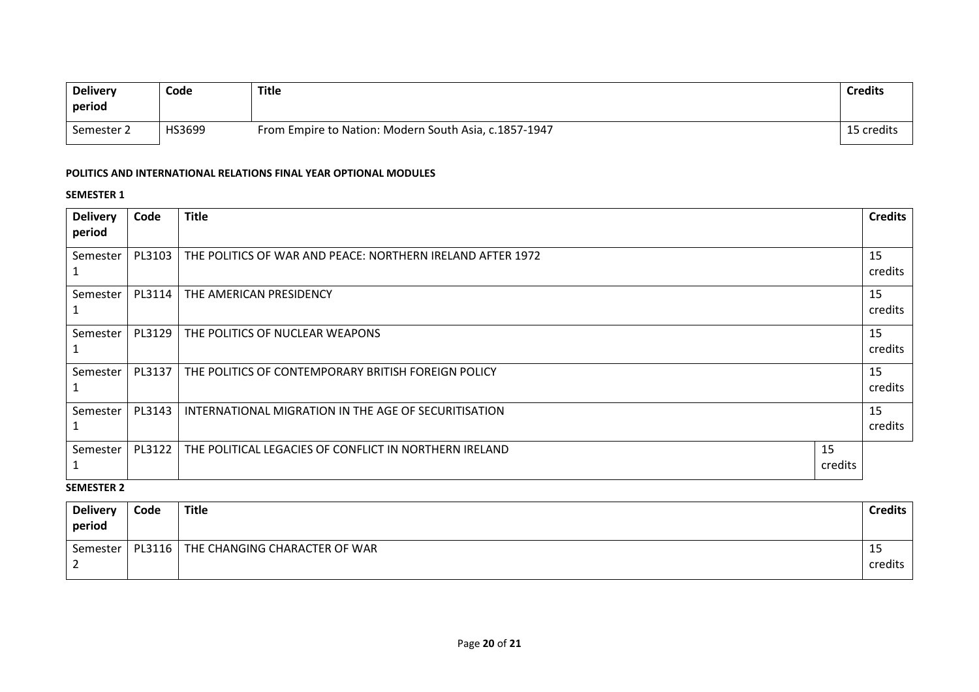| <b>Delivery</b><br>period | Code   | <b>Title</b>                                          | <b>Credits</b> |
|---------------------------|--------|-------------------------------------------------------|----------------|
| Semester 2                | HS3699 | From Empire to Nation: Modern South Asia, c.1857-1947 | 15 credits     |

#### **POLITICS AND INTERNATIONAL RELATIONS FINAL YEAR OPTIONAL MODULES**

#### **SEMESTER 1**

| <b>Delivery</b> | Code   | <b>Title</b>                                               |               | <b>Credits</b> |
|-----------------|--------|------------------------------------------------------------|---------------|----------------|
| period          |        |                                                            |               |                |
| Semester        | PL3103 | THE POLITICS OF WAR AND PEACE: NORTHERN IRELAND AFTER 1972 |               | 15<br>credits  |
| Semester        | PL3114 | THE AMERICAN PRESIDENCY                                    |               | 15<br>credits  |
| Semester        | PL3129 | THE POLITICS OF NUCLEAR WEAPONS                            |               | 15<br>credits  |
| Semester        | PL3137 | THE POLITICS OF CONTEMPORARY BRITISH FOREIGN POLICY        |               | 15<br>credits  |
| Semester        | PL3143 | INTERNATIONAL MIGRATION IN THE AGE OF SECURITISATION       |               | 15<br>credits  |
| Semester        | PL3122 | THE POLITICAL LEGACIES OF CONFLICT IN NORTHERN IRELAND     | 15<br>credits |                |

# **SEMESTER 2**

| <b>Delivery</b><br>period | Code   | Title                         | <b>Credits</b> |
|---------------------------|--------|-------------------------------|----------------|
| Semester                  | PL3116 | THE CHANGING CHARACTER OF WAR | ᅭ              |
|                           |        |                               | credits        |